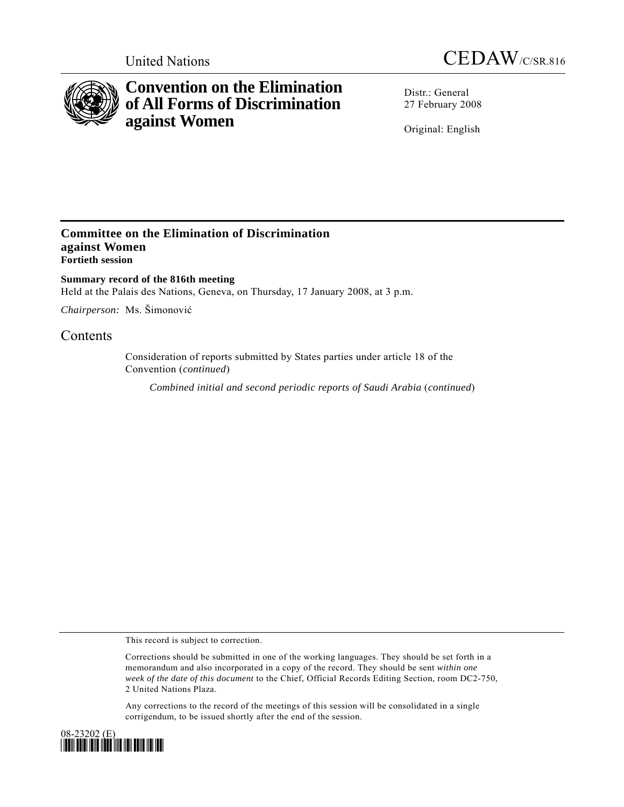



# **Convention on the Elimination of All Forms of Discrimination against Women**

Distr · General 27 February 2008

Original: English

### **Committee on the Elimination of Discrimination against Women Fortieth session**

**Summary record of the 816th meeting**  Held at the Palais des Nations, Geneva, on Thursday, 17 January 2008, at 3 p.m.

*Chairperson:* Ms. Šimonović

## Contents

Consideration of reports submitted by States parties under article 18 of the Convention (*continued*)

*Combined initial and second periodic reports of Saudi Arabia* (*continued*)

This record is subject to correction.

Corrections should be submitted in one of the working languages. They should be set forth in a memorandum and also incorporated in a copy of the record. They should be sent *within one week of the date of this document* to the Chief, Official Records Editing Section, room DC2-750, 2 United Nations Plaza.

Any corrections to the record of the meetings of this session will be consolidated in a single corrigendum, to be issued shortly after the end of the session.

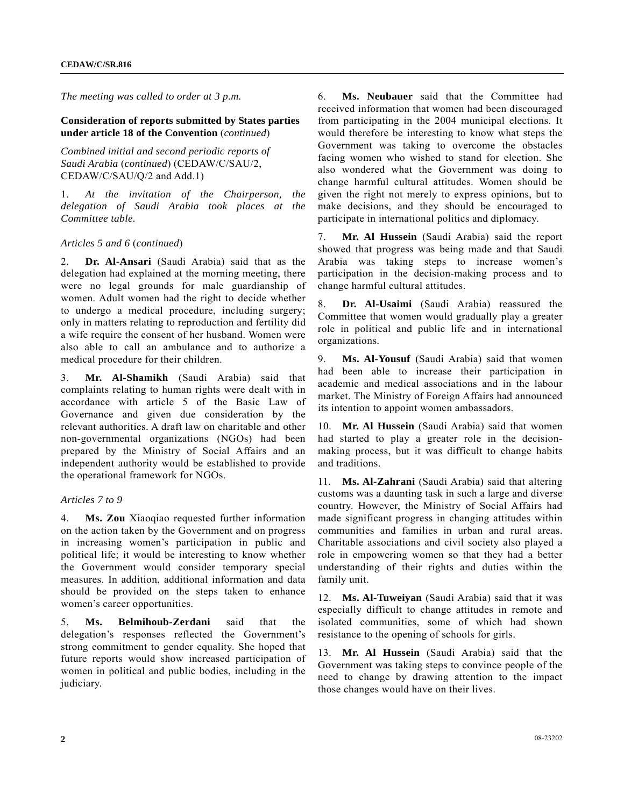*The meeting was called to order at 3 p.m.* 

#### **Consideration of reports submitted by States parties under article 18 of the Convention** (*continued*)

*Combined initial and second periodic reports of Saudi Arabia* (*continued*) (CEDAW/C/SAU/2, CEDAW/C/SAU/Q/2 and Add.1)

1. *At the invitation of the Chairperson, the delegation of Saudi Arabia took places at the Committee table.*

#### *Articles 5 and 6* (*continued*)

2. **Dr. Al-Ansari** (Saudi Arabia) said that as the delegation had explained at the morning meeting, there were no legal grounds for male guardianship of women. Adult women had the right to decide whether to undergo a medical procedure, including surgery; only in matters relating to reproduction and fertility did a wife require the consent of her husband. Women were also able to call an ambulance and to authorize a medical procedure for their children.

3. **Mr. Al-Shamikh** (Saudi Arabia) said that complaints relating to human rights were dealt with in accordance with article 5 of the Basic Law of Governance and given due consideration by the relevant authorities. A draft law on charitable and other non-governmental organizations (NGOs) had been prepared by the Ministry of Social Affairs and an independent authority would be established to provide the operational framework for NGOs.

#### *Articles 7 to 9*

4. **Ms. Zou** Xiaoqiao requested further information on the action taken by the Government and on progress in increasing women's participation in public and political life; it would be interesting to know whether the Government would consider temporary special measures. In addition, additional information and data should be provided on the steps taken to enhance women's career opportunities.

5. **Ms. Belmihoub-Zerdani** said that the delegation's responses reflected the Government's strong commitment to gender equality. She hoped that future reports would show increased participation of women in political and public bodies, including in the judiciary.

6. **Ms. Neubauer** said that the Committee had received information that women had been discouraged from participating in the 2004 municipal elections. It would therefore be interesting to know what steps the Government was taking to overcome the obstacles facing women who wished to stand for election. She also wondered what the Government was doing to change harmful cultural attitudes. Women should be given the right not merely to express opinions, but to make decisions, and they should be encouraged to participate in international politics and diplomacy.

7. **Mr. Al Hussein** (Saudi Arabia) said the report showed that progress was being made and that Saudi Arabia was taking steps to increase women's participation in the decision-making process and to change harmful cultural attitudes.

8. **Dr. Al-Usaimi** (Saudi Arabia) reassured the Committee that women would gradually play a greater role in political and public life and in international organizations.

9. **Ms. Al-Yousuf** (Saudi Arabia) said that women had been able to increase their participation in academic and medical associations and in the labour market. The Ministry of Foreign Affairs had announced its intention to appoint women ambassadors.

10. **Mr. Al Hussein** (Saudi Arabia) said that women had started to play a greater role in the decisionmaking process, but it was difficult to change habits and traditions.

11. **Ms. Al-Zahrani** (Saudi Arabia) said that altering customs was a daunting task in such a large and diverse country. However, the Ministry of Social Affairs had made significant progress in changing attitudes within communities and families in urban and rural areas. Charitable associations and civil society also played a role in empowering women so that they had a better understanding of their rights and duties within the family unit.

12. **Ms. Al-Tuweiyan** (Saudi Arabia) said that it was especially difficult to change attitudes in remote and isolated communities, some of which had shown resistance to the opening of schools for girls.

13. **Mr. Al Hussein** (Saudi Arabia) said that the Government was taking steps to convince people of the need to change by drawing attention to the impact those changes would have on their lives.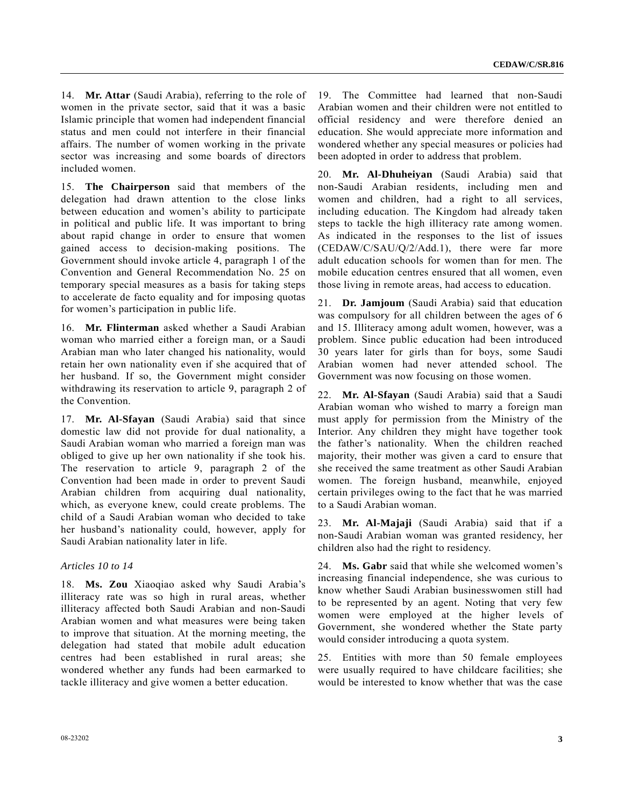14. **Mr. Attar** (Saudi Arabia), referring to the role of women in the private sector, said that it was a basic Islamic principle that women had independent financial status and men could not interfere in their financial affairs. The number of women working in the private sector was increasing and some boards of directors included women.

15. **The Chairperson** said that members of the delegation had drawn attention to the close links between education and women's ability to participate in political and public life. It was important to bring about rapid change in order to ensure that women gained access to decision-making positions. The Government should invoke article 4, paragraph 1 of the Convention and General Recommendation No. 25 on temporary special measures as a basis for taking steps to accelerate de facto equality and for imposing quotas for women's participation in public life.

16. **Mr. Flinterman** asked whether a Saudi Arabian woman who married either a foreign man, or a Saudi Arabian man who later changed his nationality, would retain her own nationality even if she acquired that of her husband. If so, the Government might consider withdrawing its reservation to article 9, paragraph 2 of the Convention.

17. **Mr. Al-Sfayan** (Saudi Arabia) said that since domestic law did not provide for dual nationality, a Saudi Arabian woman who married a foreign man was obliged to give up her own nationality if she took his. The reservation to article 9, paragraph 2 of the Convention had been made in order to prevent Saudi Arabian children from acquiring dual nationality, which, as everyone knew, could create problems. The child of a Saudi Arabian woman who decided to take her husband's nationality could, however, apply for Saudi Arabian nationality later in life.

#### *Articles 10 to 14*

18. **Ms. Zou** Xiaoqiao asked why Saudi Arabia's illiteracy rate was so high in rural areas, whether illiteracy affected both Saudi Arabian and non-Saudi Arabian women and what measures were being taken to improve that situation. At the morning meeting, the delegation had stated that mobile adult education centres had been established in rural areas; she wondered whether any funds had been earmarked to tackle illiteracy and give women a better education.

19. The Committee had learned that non-Saudi Arabian women and their children were not entitled to official residency and were therefore denied an education. She would appreciate more information and wondered whether any special measures or policies had been adopted in order to address that problem.

20. **Mr. Al-Dhuheiyan** (Saudi Arabia) said that non-Saudi Arabian residents, including men and women and children, had a right to all services, including education. The Kingdom had already taken steps to tackle the high illiteracy rate among women. As indicated in the responses to the list of issues (CEDAW/C/SAU/Q/2/Add.1), there were far more adult education schools for women than for men. The mobile education centres ensured that all women, even those living in remote areas, had access to education.

21. **Dr. Jamjoum** (Saudi Arabia) said that education was compulsory for all children between the ages of 6 and 15. Illiteracy among adult women, however, was a problem. Since public education had been introduced 30 years later for girls than for boys, some Saudi Arabian women had never attended school. The Government was now focusing on those women.

22. **Mr. Al-Sfayan** (Saudi Arabia) said that a Saudi Arabian woman who wished to marry a foreign man must apply for permission from the Ministry of the Interior. Any children they might have together took the father's nationality. When the children reached majority, their mother was given a card to ensure that she received the same treatment as other Saudi Arabian women. The foreign husband, meanwhile, enjoyed certain privileges owing to the fact that he was married to a Saudi Arabian woman.

23. **Mr. Al-Majaji** (Saudi Arabia) said that if a non-Saudi Arabian woman was granted residency, her children also had the right to residency.

24. **Ms. Gabr** said that while she welcomed women's increasing financial independence, she was curious to know whether Saudi Arabian businesswomen still had to be represented by an agent. Noting that very few women were employed at the higher levels of Government, she wondered whether the State party would consider introducing a quota system.

25. Entities with more than 50 female employees were usually required to have childcare facilities; she would be interested to know whether that was the case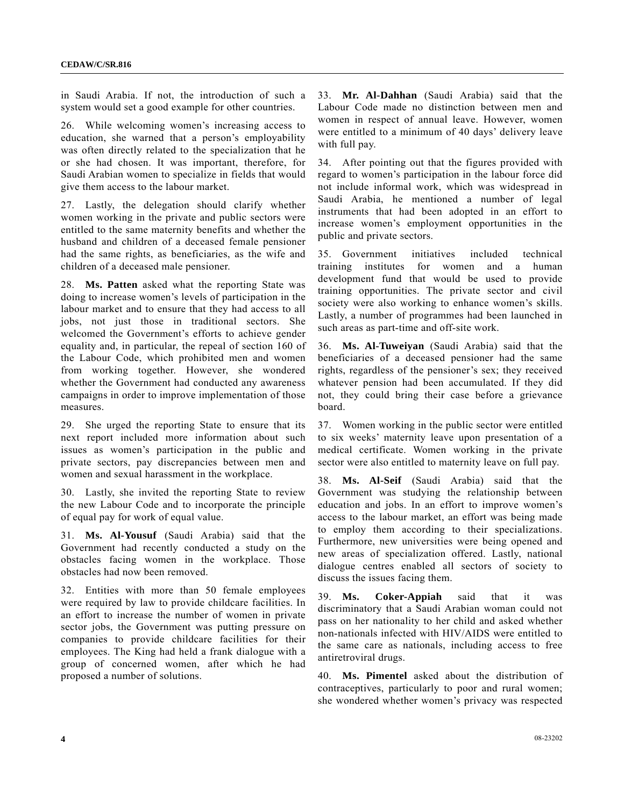in Saudi Arabia. If not, the introduction of such a system would set a good example for other countries.

26. While welcoming women's increasing access to education, she warned that a person's employability was often directly related to the specialization that he or she had chosen. It was important, therefore, for Saudi Arabian women to specialize in fields that would give them access to the labour market.

27. Lastly, the delegation should clarify whether women working in the private and public sectors were entitled to the same maternity benefits and whether the husband and children of a deceased female pensioner had the same rights, as beneficiaries, as the wife and children of a deceased male pensioner.

28. **Ms. Patten** asked what the reporting State was doing to increase women's levels of participation in the labour market and to ensure that they had access to all jobs, not just those in traditional sectors. She welcomed the Government's efforts to achieve gender equality and, in particular, the repeal of section 160 of the Labour Code, which prohibited men and women from working together. However, she wondered whether the Government had conducted any awareness campaigns in order to improve implementation of those measures.

29. She urged the reporting State to ensure that its next report included more information about such issues as women's participation in the public and private sectors, pay discrepancies between men and women and sexual harassment in the workplace.

30. Lastly, she invited the reporting State to review the new Labour Code and to incorporate the principle of equal pay for work of equal value.

31. **Ms. Al-Yousuf** (Saudi Arabia) said that the Government had recently conducted a study on the obstacles facing women in the workplace. Those obstacles had now been removed.

32. Entities with more than 50 female employees were required by law to provide childcare facilities. In an effort to increase the number of women in private sector jobs, the Government was putting pressure on companies to provide childcare facilities for their employees. The King had held a frank dialogue with a group of concerned women, after which he had proposed a number of solutions.

33. **Mr. Al-Dahhan** (Saudi Arabia) said that the Labour Code made no distinction between men and women in respect of annual leave. However, women were entitled to a minimum of 40 days' delivery leave with full pay.

34. After pointing out that the figures provided with regard to women's participation in the labour force did not include informal work, which was widespread in Saudi Arabia, he mentioned a number of legal instruments that had been adopted in an effort to increase women's employment opportunities in the public and private sectors.

35. Government initiatives included technical training institutes for women and a human development fund that would be used to provide training opportunities. The private sector and civil society were also working to enhance women's skills. Lastly, a number of programmes had been launched in such areas as part-time and off-site work.

36. **Ms. Al-Tuweiyan** (Saudi Arabia) said that the beneficiaries of a deceased pensioner had the same rights, regardless of the pensioner's sex; they received whatever pension had been accumulated. If they did not, they could bring their case before a grievance board.

37. Women working in the public sector were entitled to six weeks' maternity leave upon presentation of a medical certificate. Women working in the private sector were also entitled to maternity leave on full pay.

38. **Ms. Al-Seif** (Saudi Arabia) said that the Government was studying the relationship between education and jobs. In an effort to improve women's access to the labour market, an effort was being made to employ them according to their specializations. Furthermore, new universities were being opened and new areas of specialization offered. Lastly, national dialogue centres enabled all sectors of society to discuss the issues facing them.

39. **Ms. Coker-Appiah** said that it was discriminatory that a Saudi Arabian woman could not pass on her nationality to her child and asked whether non-nationals infected with HIV/AIDS were entitled to the same care as nationals, including access to free antiretroviral drugs.

40. **Ms. Pimentel** asked about the distribution of contraceptives, particularly to poor and rural women; she wondered whether women's privacy was respected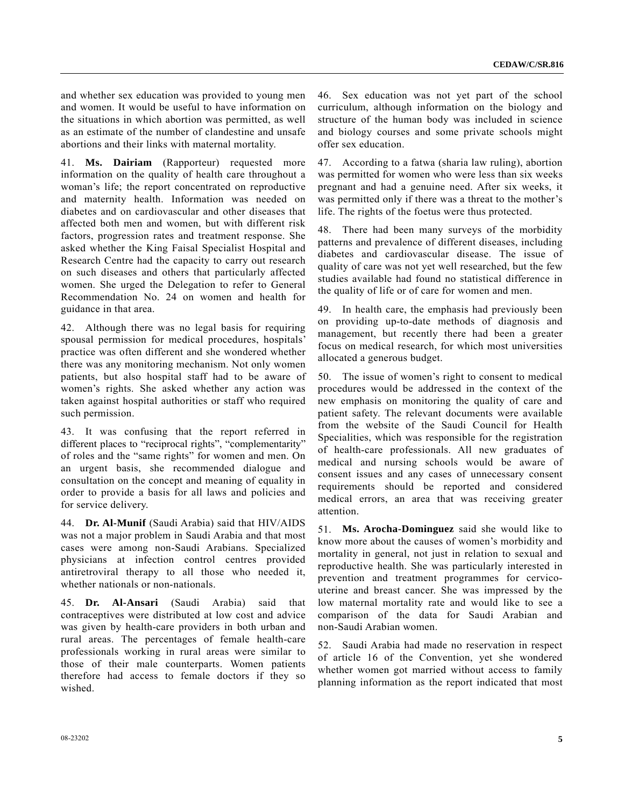and whether sex education was provided to young men and women. It would be useful to have information on the situations in which abortion was permitted, as well as an estimate of the number of clandestine and unsafe abortions and their links with maternal mortality.

41. **Ms. Dairiam** (Rapporteur) requested more information on the quality of health care throughout a woman's life; the report concentrated on reproductive and maternity health. Information was needed on diabetes and on cardiovascular and other diseases that affected both men and women, but with different risk factors, progression rates and treatment response. She asked whether the King Faisal Specialist Hospital and Research Centre had the capacity to carry out research on such diseases and others that particularly affected women. She urged the Delegation to refer to General Recommendation No. 24 on women and health for guidance in that area.

42. Although there was no legal basis for requiring spousal permission for medical procedures, hospitals' practice was often different and she wondered whether there was any monitoring mechanism. Not only women patients, but also hospital staff had to be aware of women's rights. She asked whether any action was taken against hospital authorities or staff who required such permission.

43. It was confusing that the report referred in different places to "reciprocal rights", "complementarity" of roles and the "same rights" for women and men. On an urgent basis, she recommended dialogue and consultation on the concept and meaning of equality in order to provide a basis for all laws and policies and for service delivery.

44. **Dr. Al-Munif** (Saudi Arabia) said that HIV/AIDS was not a major problem in Saudi Arabia and that most cases were among non-Saudi Arabians. Specialized physicians at infection control centres provided antiretroviral therapy to all those who needed it, whether nationals or non-nationals.

45. **Dr. Al-Ansari** (Saudi Arabia) said that contraceptives were distributed at low cost and advice was given by health-care providers in both urban and rural areas. The percentages of female health-care professionals working in rural areas were similar to those of their male counterparts. Women patients therefore had access to female doctors if they so wished.

46. Sex education was not yet part of the school curriculum, although information on the biology and structure of the human body was included in science and biology courses and some private schools might offer sex education.

47. According to a fatwa (sharia law ruling), abortion was permitted for women who were less than six weeks pregnant and had a genuine need. After six weeks, it was permitted only if there was a threat to the mother's life. The rights of the foetus were thus protected.

48. There had been many surveys of the morbidity patterns and prevalence of different diseases, including diabetes and cardiovascular disease. The issue of quality of care was not yet well researched, but the few studies available had found no statistical difference in the quality of life or of care for women and men.

49. In health care, the emphasis had previously been on providing up-to-date methods of diagnosis and management, but recently there had been a greater focus on medical research, for which most universities allocated a generous budget.

50. The issue of women's right to consent to medical procedures would be addressed in the context of the new emphasis on monitoring the quality of care and patient safety. The relevant documents were available from the website of the Saudi Council for Health Specialities, which was responsible for the registration of health-care professionals. All new graduates of medical and nursing schools would be aware of consent issues and any cases of unnecessary consent requirements should be reported and considered medical errors, an area that was receiving greater attention.

51. **Ms. Arocha-Dominguez** said she would like to know more about the causes of women's morbidity and mortality in general, not just in relation to sexual and reproductive health. She was particularly interested in prevention and treatment programmes for cervicouterine and breast cancer. She was impressed by the low maternal mortality rate and would like to see a comparison of the data for Saudi Arabian and non-Saudi Arabian women.

52. Saudi Arabia had made no reservation in respect of article 16 of the Convention, yet she wondered whether women got married without access to family planning information as the report indicated that most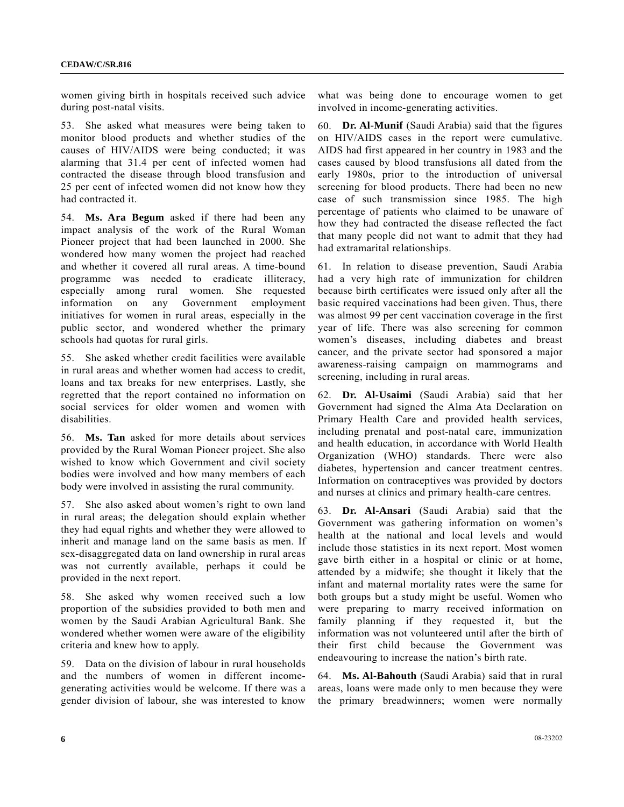women giving birth in hospitals received such advice during post-natal visits.

53. She asked what measures were being taken to monitor blood products and whether studies of the causes of HIV/AIDS were being conducted; it was alarming that 31.4 per cent of infected women had contracted the disease through blood transfusion and 25 per cent of infected women did not know how they had contracted it.

54. **Ms. Ara Begum** asked if there had been any impact analysis of the work of the Rural Woman Pioneer project that had been launched in 2000. She wondered how many women the project had reached and whether it covered all rural areas. A time-bound programme was needed to eradicate illiteracy, especially among rural women. She requested information on any Government employment initiatives for women in rural areas, especially in the public sector, and wondered whether the primary schools had quotas for rural girls.

55. She asked whether credit facilities were available in rural areas and whether women had access to credit, loans and tax breaks for new enterprises. Lastly, she regretted that the report contained no information on social services for older women and women with disabilities.

56. **Ms. Tan** asked for more details about services provided by the Rural Woman Pioneer project. She also wished to know which Government and civil society bodies were involved and how many members of each body were involved in assisting the rural community.

57. She also asked about women's right to own land in rural areas; the delegation should explain whether they had equal rights and whether they were allowed to inherit and manage land on the same basis as men. If sex-disaggregated data on land ownership in rural areas was not currently available, perhaps it could be provided in the next report.

58. She asked why women received such a low proportion of the subsidies provided to both men and women by the Saudi Arabian Agricultural Bank. She wondered whether women were aware of the eligibility criteria and knew how to apply.

59. Data on the division of labour in rural households and the numbers of women in different incomegenerating activities would be welcome. If there was a gender division of labour, she was interested to know what was being done to encourage women to get involved in income-generating activities.

60. **Dr. Al-Munif** (Saudi Arabia) said that the figures on HIV/AIDS cases in the report were cumulative. AIDS had first appeared in her country in 1983 and the cases caused by blood transfusions all dated from the early 1980s, prior to the introduction of universal screening for blood products. There had been no new case of such transmission since 1985. The high percentage of patients who claimed to be unaware of how they had contracted the disease reflected the fact that many people did not want to admit that they had had extramarital relationships.

61. In relation to disease prevention, Saudi Arabia had a very high rate of immunization for children because birth certificates were issued only after all the basic required vaccinations had been given. Thus, there was almost 99 per cent vaccination coverage in the first year of life. There was also screening for common women's diseases, including diabetes and breast cancer, and the private sector had sponsored a major awareness-raising campaign on mammograms and screening, including in rural areas.

62. **Dr. Al-Usaimi** (Saudi Arabia) said that her Government had signed the Alma Ata Declaration on Primary Health Care and provided health services, including prenatal and post-natal care, immunization and health education, in accordance with World Health Organization (WHO) standards. There were also diabetes, hypertension and cancer treatment centres. Information on contraceptives was provided by doctors and nurses at clinics and primary health-care centres.

63. **Dr. Al-Ansari** (Saudi Arabia) said that the Government was gathering information on women's health at the national and local levels and would include those statistics in its next report. Most women gave birth either in a hospital or clinic or at home, attended by a midwife; she thought it likely that the infant and maternal mortality rates were the same for both groups but a study might be useful. Women who were preparing to marry received information on family planning if they requested it, but the information was not volunteered until after the birth of their first child because the Government was endeavouring to increase the nation's birth rate.

64. **Ms. Al-Bahouth** (Saudi Arabia) said that in rural areas, loans were made only to men because they were the primary breadwinners; women were normally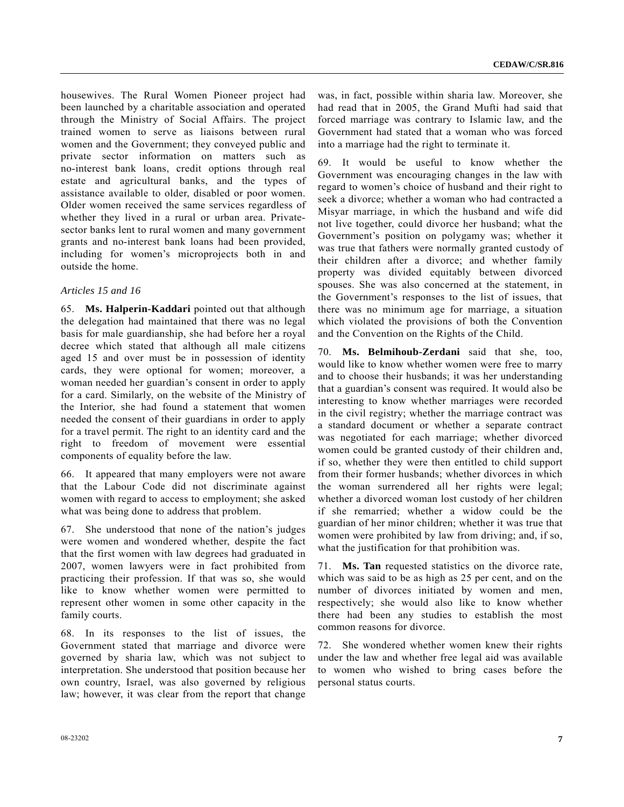housewives. The Rural Women Pioneer project had been launched by a charitable association and operated through the Ministry of Social Affairs. The project trained women to serve as liaisons between rural women and the Government; they conveyed public and private sector information on matters such as no-interest bank loans, credit options through real estate and agricultural banks, and the types of assistance available to older, disabled or poor women. Older women received the same services regardless of whether they lived in a rural or urban area. Privatesector banks lent to rural women and many government grants and no-interest bank loans had been provided, including for women's microprojects both in and outside the home.

#### *Articles 15 and 16*

65. **Ms. Halperin-Kaddari** pointed out that although the delegation had maintained that there was no legal basis for male guardianship, she had before her a royal decree which stated that although all male citizens aged 15 and over must be in possession of identity cards, they were optional for women; moreover, a woman needed her guardian's consent in order to apply for a card. Similarly, on the website of the Ministry of the Interior, she had found a statement that women needed the consent of their guardians in order to apply for a travel permit. The right to an identity card and the right to freedom of movement were essential components of equality before the law.

66. It appeared that many employers were not aware that the Labour Code did not discriminate against women with regard to access to employment; she asked what was being done to address that problem.

67. She understood that none of the nation's judges were women and wondered whether, despite the fact that the first women with law degrees had graduated in 2007, women lawyers were in fact prohibited from practicing their profession. If that was so, she would like to know whether women were permitted to represent other women in some other capacity in the family courts.

68. In its responses to the list of issues, the Government stated that marriage and divorce were governed by sharia law, which was not subject to interpretation. She understood that position because her own country, Israel, was also governed by religious law; however, it was clear from the report that change was, in fact, possible within sharia law. Moreover, she had read that in 2005, the Grand Mufti had said that forced marriage was contrary to Islamic law, and the Government had stated that a woman who was forced into a marriage had the right to terminate it.

69. It would be useful to know whether the Government was encouraging changes in the law with regard to women's choice of husband and their right to seek a divorce; whether a woman who had contracted a Misyar marriage, in which the husband and wife did not live together, could divorce her husband; what the Government's position on polygamy was; whether it was true that fathers were normally granted custody of their children after a divorce; and whether family property was divided equitably between divorced spouses. She was also concerned at the statement, in the Government's responses to the list of issues, that there was no minimum age for marriage, a situation which violated the provisions of both the Convention and the Convention on the Rights of the Child.

70. **Ms. Belmihoub-Zerdani** said that she, too, would like to know whether women were free to marry and to choose their husbands; it was her understanding that a guardian's consent was required. It would also be interesting to know whether marriages were recorded in the civil registry; whether the marriage contract was a standard document or whether a separate contract was negotiated for each marriage; whether divorced women could be granted custody of their children and, if so, whether they were then entitled to child support from their former husbands; whether divorces in which the woman surrendered all her rights were legal; whether a divorced woman lost custody of her children if she remarried; whether a widow could be the guardian of her minor children; whether it was true that women were prohibited by law from driving; and, if so, what the justification for that prohibition was.

71. **Ms. Tan** requested statistics on the divorce rate, which was said to be as high as 25 per cent, and on the number of divorces initiated by women and men, respectively; she would also like to know whether there had been any studies to establish the most common reasons for divorce.

72. She wondered whether women knew their rights under the law and whether free legal aid was available to women who wished to bring cases before the personal status courts.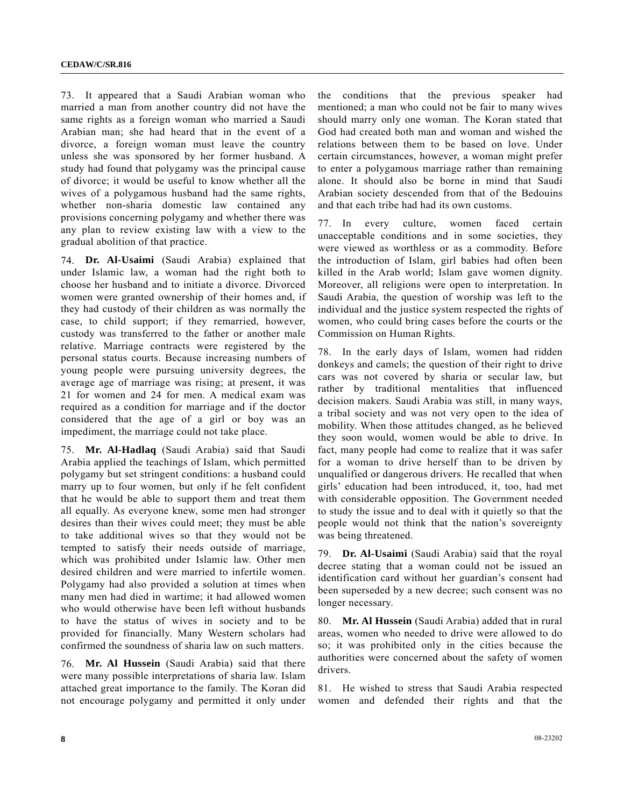73. It appeared that a Saudi Arabian woman who married a man from another country did not have the same rights as a foreign woman who married a Saudi Arabian man; she had heard that in the event of a divorce, a foreign woman must leave the country unless she was sponsored by her former husband. A study had found that polygamy was the principal cause of divorce; it would be useful to know whether all the wives of a polygamous husband had the same rights, whether non-sharia domestic law contained any provisions concerning polygamy and whether there was any plan to review existing law with a view to the gradual abolition of that practice.

74. **Dr. Al-Usaimi** (Saudi Arabia) explained that under Islamic law, a woman had the right both to choose her husband and to initiate a divorce. Divorced women were granted ownership of their homes and, if they had custody of their children as was normally the case, to child support; if they remarried, however, custody was transferred to the father or another male relative. Marriage contracts were registered by the personal status courts. Because increasing numbers of young people were pursuing university degrees, the average age of marriage was rising; at present, it was 21 for women and 24 for men. A medical exam was required as a condition for marriage and if the doctor considered that the age of a girl or boy was an impediment, the marriage could not take place.

75. **Mr. Al-Hadlaq** (Saudi Arabia) said that Saudi Arabia applied the teachings of Islam, which permitted polygamy but set stringent conditions: a husband could marry up to four women, but only if he felt confident that he would be able to support them and treat them all equally. As everyone knew, some men had stronger desires than their wives could meet; they must be able to take additional wives so that they would not be tempted to satisfy their needs outside of marriage, which was prohibited under Islamic law. Other men desired children and were married to infertile women. Polygamy had also provided a solution at times when many men had died in wartime; it had allowed women who would otherwise have been left without husbands to have the status of wives in society and to be provided for financially. Many Western scholars had confirmed the soundness of sharia law on such matters.

76. **Mr. Al Hussein** (Saudi Arabia) said that there were many possible interpretations of sharia law. Islam attached great importance to the family. The Koran did not encourage polygamy and permitted it only under the conditions that the previous speaker had mentioned; a man who could not be fair to many wives should marry only one woman. The Koran stated that God had created both man and woman and wished the relations between them to be based on love. Under certain circumstances, however, a woman might prefer to enter a polygamous marriage rather than remaining alone. It should also be borne in mind that Saudi Arabian society descended from that of the Bedouins and that each tribe had had its own customs.

77. In every culture, women faced certain unacceptable conditions and in some societies, they were viewed as worthless or as a commodity. Before the introduction of Islam, girl babies had often been killed in the Arab world; Islam gave women dignity. Moreover, all religions were open to interpretation. In Saudi Arabia, the question of worship was left to the individual and the justice system respected the rights of women, who could bring cases before the courts or the Commission on Human Rights.

78. In the early days of Islam, women had ridden donkeys and camels; the question of their right to drive cars was not covered by sharia or secular law, but rather by traditional mentalities that influenced decision makers. Saudi Arabia was still, in many ways, a tribal society and was not very open to the idea of mobility. When those attitudes changed, as he believed they soon would, women would be able to drive. In fact, many people had come to realize that it was safer for a woman to drive herself than to be driven by unqualified or dangerous drivers. He recalled that when girls' education had been introduced, it, too, had met with considerable opposition. The Government needed to study the issue and to deal with it quietly so that the people would not think that the nation's sovereignty was being threatened.

79. **Dr. Al-Usaimi** (Saudi Arabia) said that the royal decree stating that a woman could not be issued an identification card without her guardian's consent had been superseded by a new decree; such consent was no longer necessary.

80. **Mr. Al Hussein** (Saudi Arabia) added that in rural areas, women who needed to drive were allowed to do so; it was prohibited only in the cities because the authorities were concerned about the safety of women drivers.

81. He wished to stress that Saudi Arabia respected women and defended their rights and that the